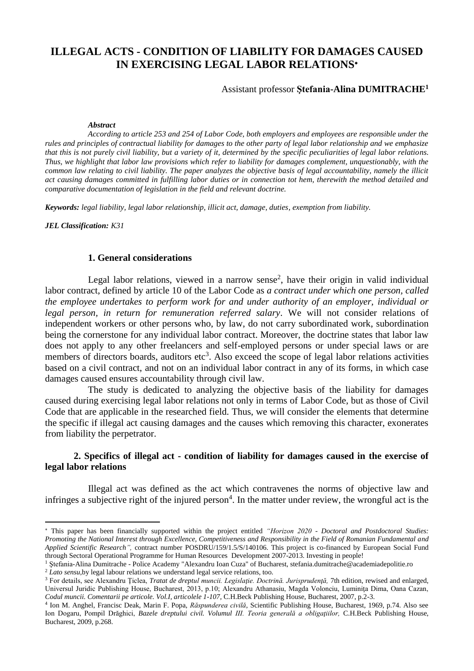# **ILLEGAL ACTS - CONDITION OF LIABILITY FOR DAMAGES CAUSED IN EXERCISING LEGAL LABOR RELATIONS**

#### Assistant professor **Ştefania-Alina DUMITRACHE<sup>1</sup>**

#### *Abstract*

*According to article 253 and 254 of Labor Code, both employers and employees are responsible under the rules and principles of contractual liability for damages to the other party of legal labor relationship and we emphasize that this is not purely civil liability, but a variety of it, determined by the specific peculiarities of legal labor relations. Thus, we highlight that labor law provisions which refer to liability for damages complement, unquestionably, with the common law relating to civil liability. The paper analyzes the objective basis of legal accountability, namely the illicit act causing damages committed in fulfilling labor duties or in connection tot hem, therewith the method detailed and comparative documentation of legislation in the field and relevant doctrine.*

*Keywords: legal liability, legal labor relationship, illicit act, damage, duties, exemption from liability.*

*JEL Classification: K31*

-

#### **1. General considerations**

Legal labor relations, viewed in a narrow sense<sup>2</sup>, have their origin in valid individual labor contract, defined by article 10 of the Labor Code as *a contract under which one person, called the employee undertakes to perform work for and under authority of an employer, individual or legal person, in return for remuneration referred salary*. We will not consider relations of independent workers or other persons who, by law, do not carry subordinated work, subordination being the cornerstone for any individual labor contract. Moreover, the doctrine states that labor law does not apply to any other freelancers and self-employed persons or under special laws or are members of directors boards, auditors etc<sup>3</sup>. Also exceed the scope of legal labor relations activities based on a civil contract, and not on an individual labor contract in any of its forms, in which case damages caused ensures accountability through civil law.

The study is dedicated to analyzing the objective basis of the liability for damages caused during exercising legal labor relations not only in terms of Labor Code, but as those of Civil Code that are applicable in the researched field. Thus, we will consider the elements that determine the specific if illegal act causing damages and the causes which removing this character, exonerates from liability the perpetrator.

### **2. Specifics of illegal act - condition of liability for damages caused in the exercise of legal labor relations**

Illegal act was defined as the act which contravenes the norms of objective law and infringes a subjective right of the injured person<sup>4</sup>. In the matter under review, the wrongful act is the

This paper has been financially supported within the project entitled *"Horizon 2020 - Doctoral and Postdoctoral Studies: Promoting the National Interest through Excellence, Competitiveness and Responsibility in the Field of Romanian Fundamental and Applied Scientific Research",* contract number POSDRU/159/1.5/S/140106. This project is co-financed by European Social Fund through Sectoral Operational Programme for Human Resources Development 2007-2013. Investing in people!

<sup>1</sup> Ştefania-Alina Dumitrache - Police Academy "Alexandru Ioan Cuza" of Bucharest, stefania.dumitrache@academiadepolitie.ro

<sup>&</sup>lt;sup>2</sup> *Lato sensu*, by legal labour relations we understand legal service relations, too.

<sup>3</sup> For details, see Alexandru Ţiclea, *Tratat de dreptul muncii. Legislaţie. Doctrină. Jurisprudenţă,* 7th edition, rewised and enlarged, Universul Juridic Publishing House, Bucharest, 2013, p.10; Alexandru Athanasiu, Magda Volonciu, Luminiţa Dima, Oana Cazan, *Codul muncii. Comentarii pe articole. Vol.I, articolele 1-107,* C.H.Beck Publishing House, Bucharest, 2007, p.2-3.

<sup>4</sup> Ion M. Anghel, Francisc Deak, Marin F. Popa, *Răspunderea civilă*, Scientific Publishing House, Bucharest, 1969, p.74. Also see Ion Dogaru, Pompil Drăghici, *Bazele dreptului civil. Volumul III. Teoria generală a obligaţiilor,* C.H.Beck Publishing House, Bucharest, 2009, p.268.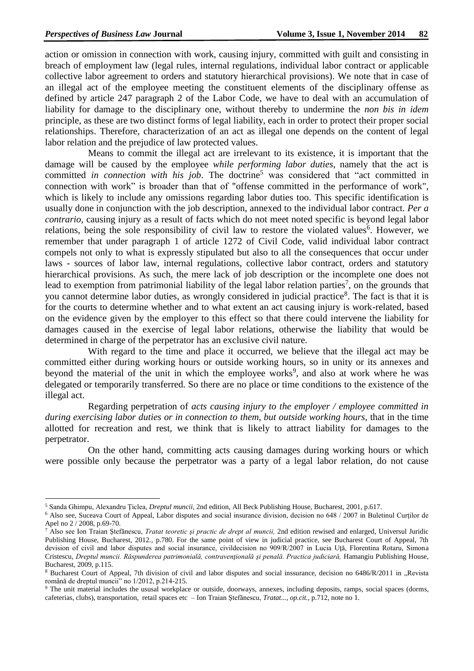**.** 

action or omission in connection with work, causing injury, committed with guilt and consisting in breach of employment law (legal rules, internal regulations, individual labor contract or applicable collective labor agreement to orders and statutory hierarchical provisions). We note that in case of an illegal act of the employee meeting the constituent elements of the disciplinary offense as defined by article 247 paragraph 2 of the Labor Code, we have to deal with an accumulation of liability for damage to the disciplinary one, without thereby to undermine the *non bis in idem* principle, as these are two distinct forms of legal liability, each in order to protect their proper social relationships. Therefore, characterization of an act as illegal one depends on the content of legal labor relation and the prejudice of law protected values.

Means to commit the illegal act are irrelevant to its existence, it is important that the damage will be caused by the employee *while performing labor duties*, namely that the act is committed *in connection with his job*. The doctrine<sup>5</sup> was considered that "act committed in connection with work" is broader than that of "offense committed in the performance of work", which is likely to include any omissions regarding labor duties too. This specific identification is usually done in conjunction with the job description, annexed to the individual labor contract. *Per a contrario*, causing injury as a result of facts which do not meet noted specific is beyond legal labor relations, being the sole responsibility of civil law to restore the violated values<sup>6</sup>. However, we remember that under paragraph 1 of article 1272 of Civil Code, valid individual labor contract compels not only to what is expressly stipulated but also to all the consequences that occur under laws - sources of labor law, internal regulations, collective labor contract, orders and statutory hierarchical provisions. As such, the mere lack of job description or the incomplete one does not lead to exemption from patrimonial liability of the legal labor relation parties<sup>7</sup>, on the grounds that you cannot determine labor duties, as wrongly considered in judicial practice<sup>8</sup>. The fact is that it is for the courts to determine whether and to what extent an act causing injury is work-related, based on the evidence given by the employer to this effect so that there could intervene the liability for damages caused in the exercise of legal labor relations, otherwise the liability that would be determined in charge of the perpetrator has an exclusive civil nature.

With regard to the time and place it occurred, we believe that the illegal act may be committed either during working hours or outside working hours, so in unity or its annexes and beyond the material of the unit in which the employee works<sup>9</sup>, and also at work where he was delegated or temporarily transferred. So there are no place or time conditions to the existence of the illegal act.

Regarding perpetration of *acts causing injury to the employer / employee committed in during exercising labor duties or in connection to them, but outside working hours*, that in the time allotted for recreation and rest, we think that is likely to attract liability for damages to the perpetrator.

On the other hand, committing acts causing damages during working hours or which were possible only because the perpetrator was a party of a legal labor relation, do not cause

<sup>5</sup> Sanda Ghimpu, Alexandru Ţiclea, *Dreptul muncii,* 2nd edition, All Beck Publishing House, Bucharest, 2001, p.617.

<sup>&</sup>lt;sup>6</sup> Also see, Suceava Court of Appeal, Labor disputes and social insurance division, decision no 648 / 2007 in Buletinul Curtilor de Apel no 2 / 2008, p.69-70.

<sup>7</sup> Also see Ion Traian Ştefănescu, *Tratat teoretic şi practic de drept al muncii,* 2nd edition rewised and enlarged, Universul Juridic Publishing House, Bucharest, 2012*.,* p.780. For the same point of view in judicial practice, see Bucharest Court of Appeal, 7th devision of civil and labor disputes and social insurance, civildecision no 909/R/2007 in Lucia Ută, Florentina Rotaru, Simona Cristescu, *Dreptul muncii. Răspunderea patrimonială, contravenţională şi penală. Practica judiciară,* Hamangiu Publishing House, Bucharest, 2009, p.115.

<sup>&</sup>lt;sup>8</sup> Bucharest Court of Appeal, 7th division of civil and labor disputes and social inssurance, decision no 6486/R/2011 in "Revista română de dreptul muncii" no 1/2012, p.214-215.

<sup>&</sup>lt;sup>9</sup> The unit material includes the ususal workplace or outside, doorways, annexes, including deposits, ramps, social spaces (dorms, cafeterias, clubs), transportation, retail spaces etc – Ion Traian Ştefănescu, *Tratat..., op.cit.,* p.712, note no 1.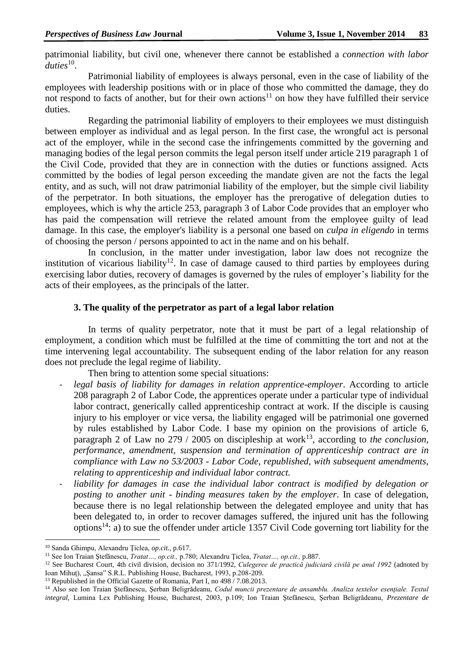patrimonial liability, but civil one, whenever there cannot be established a *connection with labor* duties<sup>10</sup>.

Patrimonial liability of employees is always personal, even in the case of liability of the employees with leadership positions with or in place of those who committed the damage, they do not respond to facts of another, but for their own actions<sup>11</sup> on how they have fulfilled their service duties.

Regarding the patrimonial liability of employers to their employees we must distinguish between employer as individual and as legal person. In the first case, the wrongful act is personal act of the employer, while in the second case the infringements committed by the governing and managing bodies of the legal person commits the legal person itself under article 219 paragraph 1 of the Civil Code, provided that they are in connection with the duties or functions assigned. Acts committed by the bodies of legal person exceeding the mandate given are not the facts the legal entity, and as such, will not draw patrimonial liability of the employer, but the simple civil liability of the perpetrator. In both situations, the employer has the prerogative of delegation duties to employees, which is why the article 253, paragraph 3 of Labor Code provides that an employer who has paid the compensation will retrieve the related amount from the employee guilty of lead damage. In this case, the employer's liability is a personal one based on *culpa in eligendo* in terms of choosing the person / persons appointed to act in the name and on his behalf.

In conclusion, in the matter under investigation, labor law does not recognize the institution of vicarious liability<sup>12</sup>. In case of damage caused to third parties by employees during exercising labor duties, recovery of damages is governed by the rules of employer's liability for the acts of their employees, as the principals of the latter.

# **3. The quality of the perpetrator as part of a legal labor relation**

In terms of quality perpetrator, note that it must be part of a legal relationship of employment, a condition which must be fulfilled at the time of committing the tort and not at the time intervening legal accountability. The subsequent ending of the labor relation for any reason does not preclude the legal regime of liability.

Then bring to attention some special situations:

- legal basis of liability for damages in relation apprentice-employer. According to article 208 paragraph 2 of Labor Code, the apprentices operate under a particular type of individual labor contract, generically called apprenticeship contract at work. If the disciple is causing injury to his employer or vice versa, the liability engaged will be patrimonial one governed by rules established by Labor Code. I base my opinion on the provisions of article 6, paragraph 2 of Law no  $279 / 2005$  on discipleship at work<sup>13</sup>, according to *the conclusion*, *performance, amendment, suspension and termination of apprenticeship contract are in compliance with Law no 53/2003 - Labor Code, republished, with subsequent amendments, relating to apprenticeship and individual labor contract.*
- *liability for damages in case the individual labor contract is modified by delegation or posting to another unit - binding measures taken by the employer*. In case of delegation, because there is no legal relationship between the delegated employee and unity that has been delegated to, in order to recover damages suffered, the injured unit has the following options<sup>14</sup>: a) to sue the offender under article 1357 Civil Code governing tort liability for the

<sup>-</sup><sup>10</sup> Sanda Ghimpu, Alexandru Ţiclea, *op.cit.,* p.617.

<sup>11</sup> See Ion Traian Ştefănescu, *Tratat…, op.cit.,* p.780; Alexandru Ţiclea, *Tratat…, op.cit.,* p.887.

<sup>12</sup> See Bucharest Court, 4th civil division, decision no 371/1992, *Culegeree de practică judiciară civilă pe anul 1992* (adnoted by Ioan Mihuţ), "Şansa" S.R.L. Publishing House, Bucharest, 1993, p.208-209.

<sup>&</sup>lt;sup>13</sup> Republished in the Official Gazette of Romania, Part I, no 498 / 7.08.2013.

<sup>14</sup> Also see Ion Traian Ştefănescu, Şerban Beligrădeanu, *Codul muncii prezentare de ansamblu. Analiza textelor esenţiale. Textul integral,* Lumina Lex Publishing House, Bucharest, 2003, p.109; Ion Traian Ştefănescu, Şerban Beligrădeanu, *Prezentare de*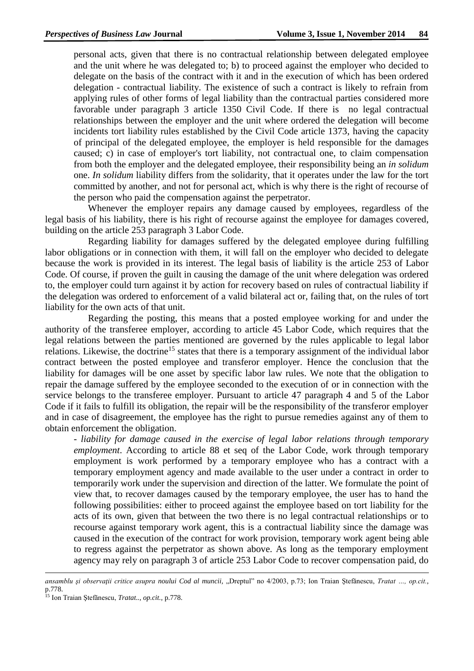personal acts, given that there is no contractual relationship between delegated employee and the unit where he was delegated to; b) to proceed against the employer who decided to delegate on the basis of the contract with it and in the execution of which has been ordered delegation - contractual liability. The existence of such a contract is likely to refrain from applying rules of other forms of legal liability than the contractual parties considered more favorable under paragraph 3 article 1350 Civil Code. If there is no legal contractual relationships between the employer and the unit where ordered the delegation will become incidents tort liability rules established by the Civil Code article 1373, having the capacity of principal of the delegated employee, the employer is held responsible for the damages caused; c) in case of employer's tort liability, not contractual one, to claim compensation from both the employer and the delegated employee, their responsibility being an *in solidum* one. *In solidum* liability differs from the solidarity, that it operates under the law for the tort committed by another, and not for personal act, which is why there is the right of recourse of the person who paid the compensation against the perpetrator.

Whenever the employer repairs any damage caused by employees, regardless of the legal basis of his liability, there is his right of recourse against the employee for damages covered, building on the article 253 paragraph 3 Labor Code.

Regarding liability for damages suffered by the delegated employee during fulfilling labor obligations or in connection with them, it will fall on the employer who decided to delegate because the work is provided in its interest. The legal basis of liability is the article 253 of Labor Code. Of course, if proven the guilt in causing the damage of the unit where delegation was ordered to, the employer could turn against it by action for recovery based on rules of contractual liability if the delegation was ordered to enforcement of a valid bilateral act or, failing that, on the rules of tort liability for the own acts of that unit.

Regarding the posting, this means that a posted employee working for and under the authority of the transferee employer, according to article 45 Labor Code, which requires that the legal relations between the parties mentioned are governed by the rules applicable to legal labor relations. Likewise, the doctrine<sup>15</sup> states that there is a temporary assignment of the individual labor contract between the posted employee and transferor employer. Hence the conclusion that the liability for damages will be one asset by specific labor law rules. We note that the obligation to repair the damage suffered by the employee seconded to the execution of or in connection with the service belongs to the transferee employer. Pursuant to article 47 paragraph 4 and 5 of the Labor Code if it fails to fulfill its obligation, the repair will be the responsibility of the transferor employer and in case of disagreement, the employee has the right to pursue remedies against any of them to obtain enforcement the obligation.

- *liability for damage caused in the exercise of legal labor relations through temporary employment*. According to article 88 et seq of the Labor Code, work through temporary employment is work performed by a temporary employee who has a contract with a temporary employment agency and made available to the user under a contract in order to temporarily work under the supervision and direction of the latter. We formulate the point of view that, to recover damages caused by the temporary employee, the user has to hand the following possibilities: either to proceed against the employee based on tort liability for the acts of its own, given that between the two there is no legal contractual relationships or to recourse against temporary work agent, this is a contractual liability since the damage was caused in the execution of the contract for work provision, temporary work agent being able to regress against the perpetrator as shown above. As long as the temporary employment agency may rely on paragraph 3 of article 253 Labor Code to recover compensation paid, do

1

*ansamblu şi observaţii critice asupra noului Cod al muncii,* "Dreptul" no 4/2003, p.73; Ion Traian Ştefănescu, *Tratat …, op.cit.*, p.778.

<sup>15</sup> Ion Traian Ştefănescu, *Tratat.., op.cit.,* p.778.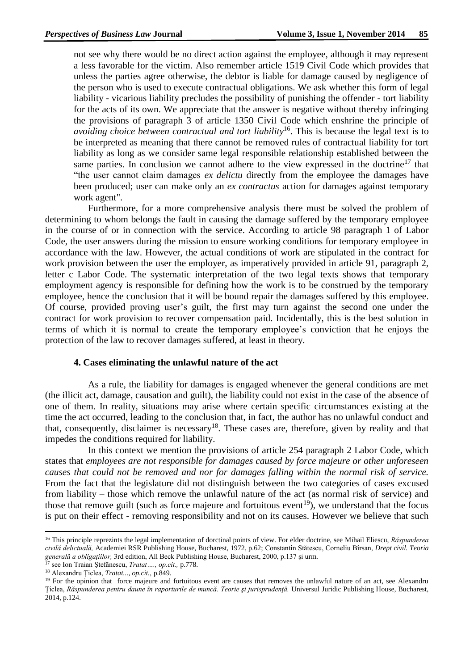not see why there would be no direct action against the employee, although it may represent a less favorable for the victim. Also remember article 1519 Civil Code which provides that unless the parties agree otherwise, the debtor is liable for damage caused by negligence of the person who is used to execute contractual obligations. We ask whether this form of legal liability - vicarious liability precludes the possibility of punishing the offender - tort liability for the acts of its own. We appreciate that the answer is negative without thereby infringing the provisions of paragraph 3 of article 1350 Civil Code which enshrine the principle of *avoiding choice between contractual and tort liability*<sup>16</sup>. This is because the legal text is to be interpreted as meaning that there cannot be removed rules of contractual liability for tort liability as long as we consider same legal responsible relationship established between the same parties. In conclusion we cannot adhere to the view expressed in the doctrine<sup>17</sup> that "the user cannot claim damages *ex delictu* directly from the employee the damages have been produced; user can make only an *ex contractus* action for damages against temporary work agent".

Furthermore, for a more comprehensive analysis there must be solved the problem of determining to whom belongs the fault in causing the damage suffered by the temporary employee in the course of or in connection with the service. According to article 98 paragraph 1 of Labor Code, the user answers during the mission to ensure working conditions for temporary employee in accordance with the law. However, the actual conditions of work are stipulated in the contract for work provision between the user the employer, as imperatively provided in article 91, paragraph 2, letter c Labor Code. The systematic interpretation of the two legal texts shows that temporary employment agency is responsible for defining how the work is to be construed by the temporary employee, hence the conclusion that it will be bound repair the damages suffered by this employee. Of course, provided proving user's guilt, the first may turn against the second one under the contract for work provision to recover compensation paid. Incidentally, this is the best solution in terms of which it is normal to create the temporary employee's conviction that he enjoys the protection of the law to recover damages suffered, at least in theory.

# **4. Cases eliminating the unlawful nature of the act**

As a rule, the liability for damages is engaged whenever the general conditions are met (the illicit act, damage, causation and guilt), the liability could not exist in the case of the absence of one of them. In reality, situations may arise where certain specific circumstances existing at the time the act occurred, leading to the conclusion that, in fact, the author has no unlawful conduct and that, consequently, disclaimer is necessary<sup>18</sup>. These cases are, therefore, given by reality and that impedes the conditions required for liability.

In this context we mention the provisions of article 254 paragraph 2 Labor Code, which states that *employees are not responsible for damages caused by force majeure or other unforeseen causes that could not be removed and nor for damages falling within the normal risk of service.*  From the fact that the legislature did not distinguish between the two categories of cases excused from liability – those which remove the unlawful nature of the act (as normal risk of service) and those that remove guilt (such as force majeure and fortuitous event<sup>19</sup>), we understand that the focus is put on their effect - removing responsibility and not on its causes. However we believe that such

1

<sup>16</sup> This principle reprezints the legal implementation of dorctinal points of view. For elder doctrine, see Mihail Eliescu, *Răspunderea civilă delictuală,* Academiei RSR Publishing House, Bucharest, 1972, p.62; Constantin Stătescu, Corneliu Bîrsan, *Drept civil. Teoria generală a obligaţiilor,* 3rd edition, All Beck Publishing House, Bucharest, 2000, p.137 şi urm.

<sup>17</sup> see Ion Traian Ştefănescu, *Tratat…., op.cit.,* p.778.

<sup>18</sup> Alexandru Ţiclea, *Tratat..., op.cit.,* p.849.

<sup>&</sup>lt;sup>19</sup> For the opinion that force majeure and fortuitous event are causes that removes the unlawful nature of an act, see Alexandru Ţiclea, *Răspunderea pentru daune în raporturile de muncă. Teorie şi jurisprudenţă,* Universul Juridic Publishing House, Bucharest, 2014, p.124.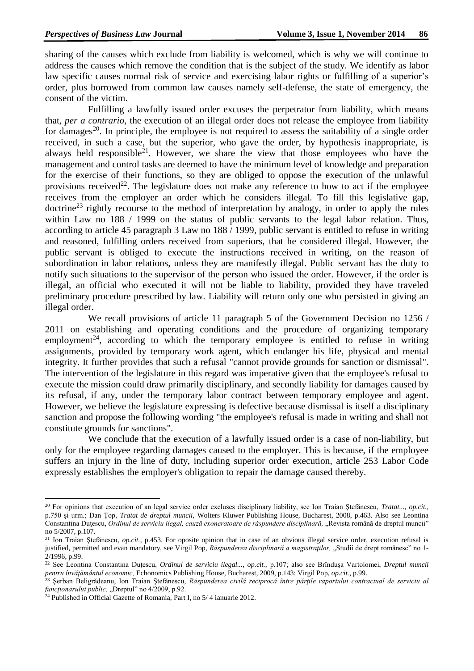sharing of the causes which exclude from liability is welcomed, which is why we will continue to address the causes which remove the condition that is the subject of the study. We identify as labor law specific causes normal risk of service and exercising labor rights or fulfilling of a superior's order, plus borrowed from common law causes namely self-defense, the state of emergency, the consent of the victim.

Fulfilling a lawfully issued order excuses the perpetrator from liability, which means that, *per a contrario*, the execution of an illegal order does not release the employee from liability for damages<sup>20</sup>. In principle, the employee is not required to assess the suitability of a single order received, in such a case, but the superior, who gave the order, by hypothesis inappropriate, is always held responsible<sup>21</sup>. However, we share the view that those employees who have the management and control tasks are deemed to have the minimum level of knowledge and preparation for the exercise of their functions, so they are obliged to oppose the execution of the unlawful provisions received<sup>22</sup>. The legislature does not make any reference to how to act if the employee receives from the employer an order which he considers illegal. To fill this legislative gap,  $\alpha$  doctrine<sup>23</sup> rightly recourse to the method of interpretation by analogy, in order to apply the rules within Law no 188 / 1999 on the status of public servants to the legal labor relation. Thus, according to article 45 paragraph 3 Law no 188 / 1999, public servant is entitled to refuse in writing and reasoned, fulfilling orders received from superiors, that he considered illegal. However, the public servant is obliged to execute the instructions received in writing, on the reason of subordination in labor relations, unless they are manifestly illegal. Public servant has the duty to notify such situations to the supervisor of the person who issued the order. However, if the order is illegal, an official who executed it will not be liable to liability, provided they have traveled preliminary procedure prescribed by law. Liability will return only one who persisted in giving an illegal order.

We recall provisions of article 11 paragraph 5 of the Government Decision no 1256 / 2011 on establishing and operating conditions and the procedure of organizing temporary employment<sup>24</sup>, according to which the temporary employee is entitled to refuse in writing assignments, provided by temporary work agent, which endanger his life, physical and mental integrity. It further provides that such a refusal "cannot provide grounds for sanction or dismissal". The intervention of the legislature in this regard was imperative given that the employee's refusal to execute the mission could draw primarily disciplinary, and secondly liability for damages caused by its refusal, if any, under the temporary labor contract between temporary employee and agent. However, we believe the legislature expressing is defective because dismissal is itself a disciplinary sanction and propose the following wording "the employee's refusal is made in writing and shall not constitute grounds for sanctions".

We conclude that the execution of a lawfully issued order is a case of non-liability, but only for the employee regarding damages caused to the employer. This is because, if the employee suffers an injury in the line of duty, including superior order execution, article 253 Labor Code expressly establishes the employer's obligation to repair the damage caused thereby.

**.** 

<sup>20</sup> For opinions that execution of an legal service order excluses disciplinary liability, see Ion Traian Ştefănescu, *Tratat..., op.cit.*, p.750 şi urm.; Dan Ţop, *Tratat de dreptul muncii,* Wolters Kluwer Publishing House, Bucharest, 2008, p.463. Also see Leontina Constantina Duţescu, *Ordinul de serviciu ilegal, cauză exoneratoare de răspundere disciplinară,* "Revista română de dreptul muncii" no 5/2007, p.107.

<sup>&</sup>lt;sup>21</sup> Ion Traian Ștefănescu, *op.cit.*, p.453. For oposite opinion that in case of an obvious illegal service order, execution refusal is justified, permitted and evan mandatory, see Virgil Pop, *Răspunderea disciplinară a magistratilor*, "Studii de drept românesc" no 1-2/1996, p.99.

<sup>22</sup> See Leontina Constantina Duţescu, *Ordinul de serviciu ilegal..., op.cit.,* p.107; also see Brînduşa Vartolomei, *Dreptul muncii pentru învăţământul economic,* Echonomics Publishing House, Bucharest, 2009, p.143; Virgil Pop, *op.cit.*, p.99.

<sup>23</sup> Şerban Beligrădeanu, Ion Traian Ştefănescu, *Răspunderea civilă reciprocă între părţile raportului contractual de serviciu al funcționarului public, "Dreptul" no 4/2009, p.92.* 

 $24$  Published in Official Gazette of Romania, Part I, no 5/4 ianuarie 2012.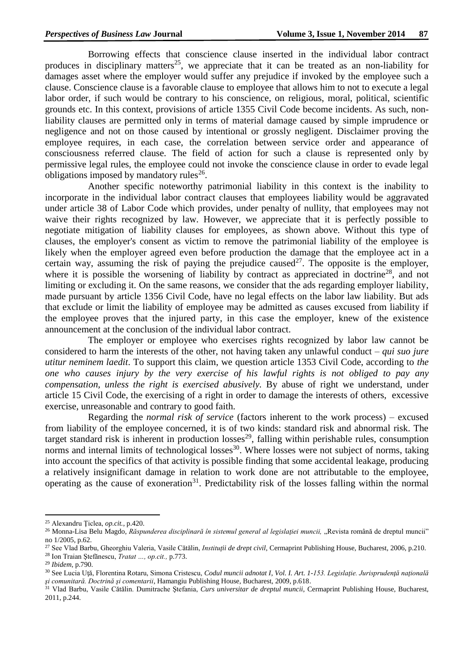Borrowing effects that conscience clause inserted in the individual labor contract produces in disciplinary matters<sup>25</sup>, we appreciate that it can be treated as an non-liability for damages asset where the employer would suffer any prejudice if invoked by the employee such a clause. Conscience clause is a favorable clause to employee that allows him to not to execute a legal labor order, if such would be contrary to his conscience, on religious, moral, political, scientific grounds etc. In this context, provisions of article 1355 Civil Code become incidents. As such, nonliability clauses are permitted only in terms of material damage caused by simple imprudence or negligence and not on those caused by intentional or grossly negligent. Disclaimer proving the employee requires, in each case, the correlation between service order and appearance of consciousness referred clause. The field of action for such a clause is represented only by permissive legal rules, the employee could not invoke the conscience clause in order to evade legal obligations imposed by mandatory rules $^{26}$ .

Another specific noteworthy patrimonial liability in this context is the inability to incorporate in the individual labor contract clauses that employees liability would be aggravated under article 38 of Labor Code which provides, under penalty of nullity, that employees may not waive their rights recognized by law. However, we appreciate that it is perfectly possible to negotiate mitigation of liability clauses for employees, as shown above. Without this type of clauses, the employer's consent as victim to remove the patrimonial liability of the employee is likely when the employer agreed even before production the damage that the employee act in a certain way, assuming the risk of paying the prejudice caused  $2^7$ . The opposite is the employer, where it is possible the worsening of liability by contract as appreciated in doctrine<sup>28</sup>, and not limiting or excluding it. On the same reasons, we consider that the ads regarding employer liability, made pursuant by article 1356 Civil Code, have no legal effects on the labor law liability. But ads that exclude or limit the liability of employee may be admitted as causes excused from liability if the employee proves that the injured party, in this case the employer, knew of the existence announcement at the conclusion of the individual labor contract.

The employer or employee who exercises rights recognized by labor law cannot be considered to harm the interests of the other, not having taken any unlawful conduct – *qui suo jure utitur neminem laedit*. To support this claim, we question article 1353 Civil Code, according to *the one who causes injury by the very exercise of his lawful rights is not obliged to pay any compensation, unless the right is exercised abusively.* By abuse of right we understand, under article 15 Civil Code, the exercising of a right in order to damage the interests of others, excessive exercise, unreasonable and contrary to good faith.

Regarding the *normal risk of service* (factors inherent to the work process) – excused from liability of the employee concerned, it is of two kinds: standard risk and abnormal risk. The target standard risk is inherent in production  $losses<sup>29</sup>$ , falling within perishable rules, consumption norms and internal limits of technological losses<sup>30</sup>. Where losses were not subject of norms, taking into account the specifics of that activity is possible finding that some accidental leakage, producing a relatively insignificant damage in relation to work done are not attributable to the employee, operating as the cause of exoneration<sup>31</sup>. Predictability risk of the losses falling within the normal

**.** 

<sup>25</sup> Alexandru Ţiclea, *op.cit.*, p.420.

<sup>&</sup>lt;sup>26</sup> Monna-Lisa Belu Magdo, *Răspunderea disciplinară în sistemul general al legislației muncii*, "Revista română de dreptul muncii" no 1/2005, p.62.

<sup>&</sup>lt;sup>27</sup> See Vlad Barbu, Gheorghiu Valeria, Vasile Cătălin, *Instituții de drept civil*, Cermaprint Publishing House, Bucharest, 2006, p.210. <sup>28</sup> Ion Traian Ştefănescu, *Tratat …, op.cit.,* p.773.

<sup>29</sup> *Ibidem,* p.790.

<sup>30</sup> See Lucia Uţă, Florentina Rotaru, Simona Cristescu, *[Codul muncii adnotat I](http://www.infocarte.ro/codul-muncii-adnotat-i-carte-detalii-1458)*, *Vol. I. Art. 1-153. Legislaţie. Jurisprudenţă naţională şi comunitară. Doctrină şi comentarii*, Hamangiu Publishing House, Bucharest, 2009, p.618.

<sup>31</sup> Vlad Barbu, Vasile Cătălin. Dumitrache Ştefania, *Curs universitar de dreptul muncii,* Cermaprint Publishing House, Bucharest, 2011, p.244.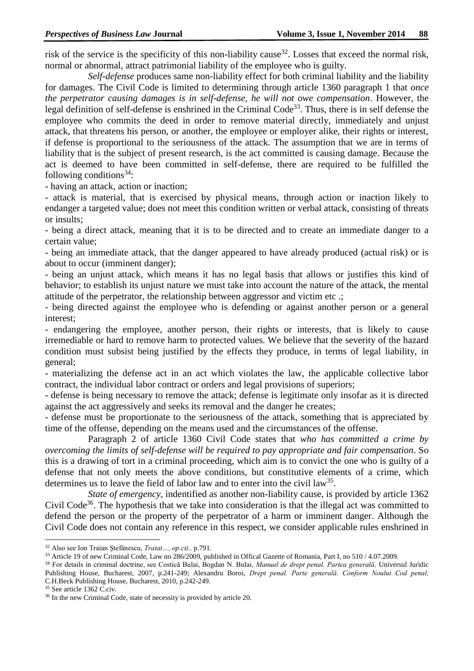risk of the service is the specificity of this non-liability cause<sup>32</sup>. Losses that exceed the normal risk, normal or abnormal, attract patrimonial liability of the employee who is guilty.

*Self-defense* produces same non-liability effect for both criminal liability and the liability for damages. The Civil Code is limited to determining through article 1360 paragraph 1 that *once the perpetrator causing damages is in self-defense, he will not owe compensation*. However, the legal definition of self-defense is enshrined in the Criminal Code<sup>33</sup>. Thus, there is in self defense the employee who commits the deed in order to remove material directly, immediately and unjust attack, that threatens his person, or another, the employee or employer alike, their rights or interest, if defense is proportional to the seriousness of the attack. The assumption that we are in terms of liability that is the subject of present research, is the act committed is causing damage. Because the act is deemed to have been committed in self-defense, there are required to be fulfilled the following conditions<sup>34</sup>:

- having an attack, action or inaction;

- attack is material, that is exercised by physical means, through action or inaction likely to endanger a targeted value; does not meet this condition written or verbal attack, consisting of threats or insults;

- being a direct attack, meaning that it is to be directed and to create an immediate danger to a certain value;

- being an immediate attack, that the danger appeared to have already produced (actual risk) or is about to occur (imminent danger);

- being an unjust attack, which means it has no legal basis that allows or justifies this kind of behavior; to establish its unjust nature we must take into account the nature of the attack, the mental attitude of the perpetrator, the relationship between aggressor and victim etc .;

- being directed against the employee who is defending or against another person or a general interest;

- endangering the employee, another person, their rights or interests, that is likely to cause irremediable or hard to remove harm to protected values. We believe that the severity of the hazard condition must subsist being justified by the effects they produce, in terms of legal liability, in general;

- materializing the defense act in an act which violates the law, the applicable collective labor contract, the individual labor contract or orders and legal provisions of superiors;

- defense is being necessary to remove the attack; defense is legitimate only insofar as it is directed against the act aggressively and seeks its removal and the danger he creates;

- defense must be proportionate to the seriousness of the attack, something that is appreciated by time of the offense, depending on the means used and the circumstances of the offense.

Paragraph 2 of article 1360 Civil Code states that *who has committed a crime by overcoming the limits of self-defense will be required to pay appropriate and fair compensation*. So this is a drawing of tort in a criminal proceeding, which aim is to convict the one who is guilty of a defense that not only meets the above conditions, but constitutive elements of a crime, which determines us to leave the field of labor law and to enter into the civil  $law^{35}$ .

*State of emergency*, indentified as another non-liability cause, is provided by article 1362 Civil Code<sup>36</sup>. The hypothesis that we take into consideration is that the illegal act was committed to defend the person or the property of the perpetrator of a harm or imminent danger. Although the Civil Code does not contain any reference in this respect, we consider applicable rules enshrined in

-

<sup>32</sup> Also see Ion Traian Ştefănescu, *Tratat…, op.cit.,* p.791.

<sup>33</sup> Article 19 of new Criminal Code, Law no 286/2009, published in Offical Gazette of Romania, Part I, no 510 / 4.07.2009.

<sup>34</sup> For details in criminal doctrine, see Costică Bulai, Bogdan N. Bulai, *Manual de drept penal. Partea generală,* Universul Juridic Publishing House, Bucharest, 2007*,* p.241-249; Alexandru Boroi, *Drept penal. Parte generală. Conform Noului Cod penal,*  C.H.Beck Publishing House, Bucharest, 2010*,* p.242-249.

<sup>35</sup> See article 1362 C.civ.

<sup>&</sup>lt;sup>36</sup> In the new Criminal Code, state of necessity is provided by article 20.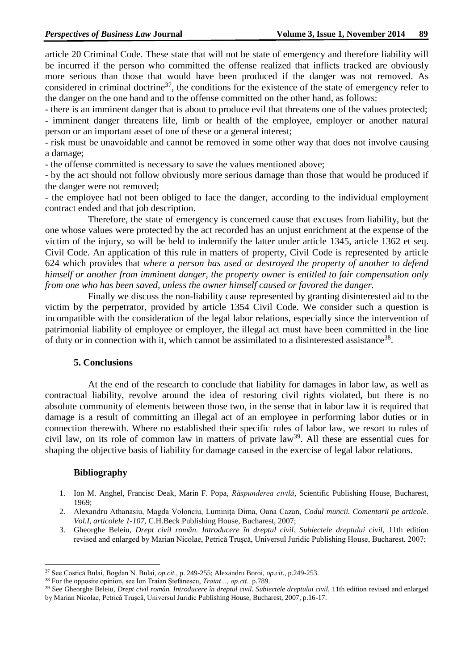article 20 Criminal Code. These state that will not be state of emergency and therefore liability will be incurred if the person who committed the offense realized that inflicts tracked are obviously more serious than those that would have been produced if the danger was not removed. As considered in criminal doctrine<sup>37</sup>, the conditions for the existence of the state of emergency refer to the danger on the one hand and to the offense committed on the other hand, as follows:

- there is an imminent danger that is about to produce evil that threatens one of the values protected; - imminent danger threatens life, limb or health of the employee, employer or another natural person or an important asset of one of these or a general interest;

- risk must be unavoidable and cannot be removed in some other way that does not involve causing a damage;

- the offense committed is necessary to save the values mentioned above;

- by the act should not follow obviously more serious damage than those that would be produced if the danger were not removed;

- the employee had not been obliged to face the danger, according to the individual employment contract ended and that job description.

Therefore, the state of emergency is concerned cause that excuses from liability, but the one whose values were protected by the act recorded has an unjust enrichment at the expense of the victim of the injury, so will be held to indemnify the latter under article 1345, article 1362 et seq. Civil Code. An application of this rule in matters of property, Civil Code is represented by article 624 which provides that *where a person has used or destroyed the property of another to defend himself or another from imminent danger, the property owner is entitled to fair compensation only from one who has been saved, unless the owner himself caused or favored the danger.*

Finally we discuss the non-liability cause represented by granting disinterested aid to the victim by the perpetrator, provided by article 1354 Civil Code. We consider such a question is incompatible with the consideration of the legal labor relations, especially since the intervention of patrimonial liability of employee or employer, the illegal act must have been committed in the line of duty or in connection with it, which cannot be assimilated to a disinterested assistance<sup>38</sup>.

# **5. Conclusions**

At the end of the research to conclude that liability for damages in labor law, as well as contractual liability, revolve around the idea of restoring civil rights violated, but there is no absolute community of elements between those two, in the sense that in labor law it is required that damage is a result of committing an illegal act of an employee in performing labor duties or in connection therewith. Where no established their specific rules of labor law, we resort to rules of civil law, on its role of common law in matters of private law<sup>39</sup>. All these are essential cues for shaping the objective basis of liability for damage caused in the exercise of legal labor relations.

# **Bibliography**

- 1. Ion M. Anghel, Francisc Deak, Marin F. Popa, *Răspunderea civilă*, Scientific Publishing House, Bucharest, 1969;
- 2. Alexandru Athanasiu, Magda Volonciu, Luminiţa Dima, Oana Cazan, *Codul muncii. Comentarii pe articole. Vol.I, articolele 1-107,* C.H.Beck Publishing House, Bucharest, 2007;
- 3. Gheorghe Beleiu, *Drept civil român. Introducere în dreptul civil. Subiectele dreptului civil,* 11th edition revised and enlarged by Marian Nicolae, Petrică Truşcă, Universul Juridic Publishing House, Bucharest, 2007;

<sup>-</sup><sup>37</sup> See Costică Bulai, Bogdan N. Bulai, *op.cit.,* p. 249-255; Alexandru Boroi, *op.cit.,* p.249-253.

<sup>38</sup> For the opposite opinion, see Ion Traian Ştefănescu, *Tratat…, op.cit.,* p.789.

<sup>&</sup>lt;sup>39</sup> See Gheorghe Beleiu, *Drept civil român. Introducere în dreptul civil. Subiectele dreptului civil*, 11th edition revised and enlarged by Marian Nicolae, Petrică Truşcă, Universul Juridic Publishing House, Bucharest, 2007, p.16-17.